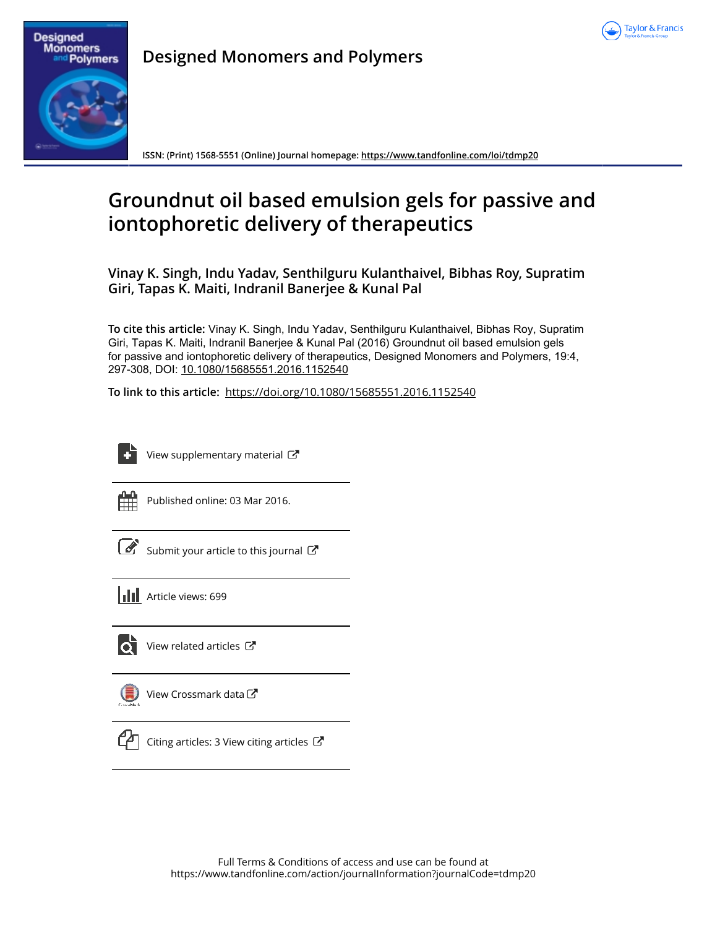

# **Designed Monomers** Polymers

**Designed Monomers and Polymers**

**ISSN: (Print) 1568-5551 (Online) Journal homepage: https://www.tandfonline.com/loi/tdmp20**

# **Groundnut oil based emulsion gels for passive and iontophoretic delivery of therapeutics**

**Vinay K. Singh, Indu Yadav, Senthilguru Kulanthaivel, Bibhas Roy, Supratim Giri, Tapas K. Maiti, Indranil Banerjee & Kunal Pal**

**To cite this article:** Vinay K. Singh, Indu Yadav, Senthilguru Kulanthaivel, Bibhas Roy, Supratim Giri, Tapas K. Maiti, Indranil Banerjee & Kunal Pal (2016) Groundnut oil based emulsion gels for passive and iontophoretic delivery of therapeutics, Designed Monomers and Polymers, 19:4, 297-308, DOI: 10.1080/15685551.2016.1152540

**To link to this article:** https://doi.org/10.1080/15685551.2016.1152540

View supplementary material  $\mathbb{Z}$ 



Published online: 03 Mar 2016.

|--|

Submit your article to this journal  $\mathbb{Z}$ 





 $\bullet$  View related articles  $\mathbb{Z}$ 



View Crossmark data<sup>C</sup>



 $\mathbb{C}$  Citing articles: 3 View citing articles  $\mathbb{C}$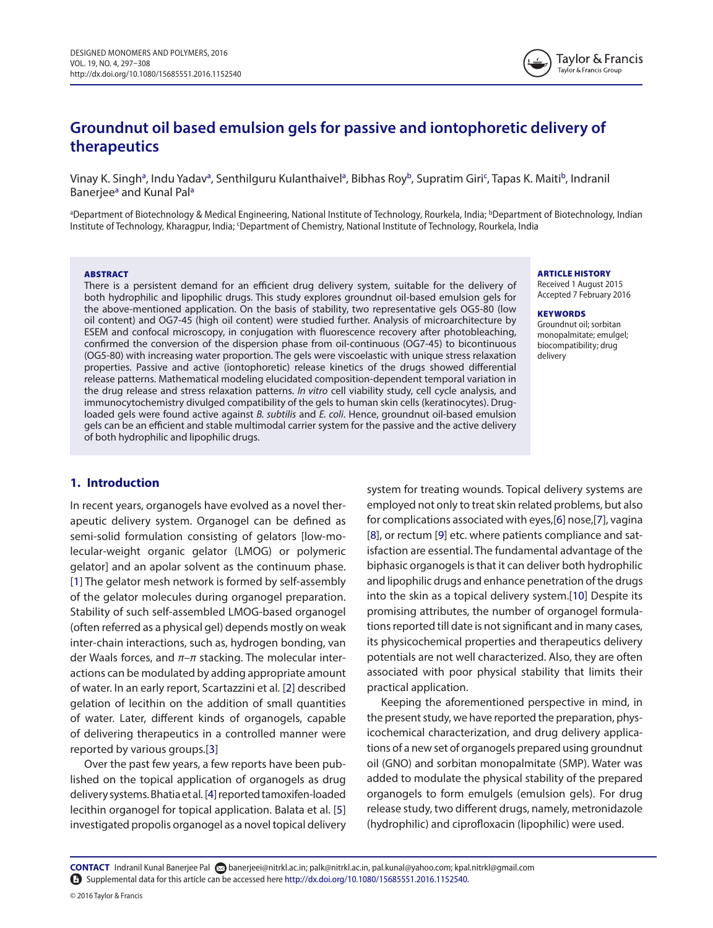# **Groundnut oil based emulsion gels for passive and iontophoretic delivery of therapeutics**

Vinay K. Singh<sup>a</sup>, Indu Yadav<sup>a</sup>, Senthilguru Kulanthaivel<sup>a</sup>, Bibhas Roy<sup>b</sup>, Supratim Giri<sup>c</sup>, Tapas K. Maiti<sup>b</sup>, Indranil Banerjee<sup>a</sup> and Kunal Pal<sup>a</sup>

aDepartment of Biotechnology & Medical Engineering, National Institute of Technology, Rourkela, India; **bDepartment of Biotechnology, Indian** Institute of Technology, Kharagpur, India; 'Department of Chemistry, National Institute of Technology, Rourkela, India

#### ABSTRACT

There is a persistent demand for an efficient drug delivery system, suitable for the delivery of both hydrophilic and lipophilic drugs. This study explores groundnut oil-based emulsion gels for the above-mentioned application. On the basis of stability, two representative gels OG5-80 (low oil content) and OG7-45 (high oil content) were studied further. Analysis of microarchitecture by ESEM and confocal microscopy, in conjugation with fluorescence recovery after photobleaching, confirmed the conversion of the dispersion phase from oil-continuous (OG7-45) to bicontinuous (OG5-80) with increasing water proportion. The gels were viscoelastic with unique stress relaxation properties. Passive and active (iontophoretic) release kinetics of the drugs showed differential release patterns. Mathematical modeling elucidated composition-dependent temporal variation in the drug release and stress relaxation patterns. In vitro cell viability study, cell cycle analysis, and immunocytochemistry divulged compatibility of the gels to human skin cells (keratinocytes). Drugloaded gels were found active against B. subtilis and E. coli. Hence, groundnut oil-based emulsion gels can be an efficient and stable multimodal carrier system for the passive and the active delivery of both hydrophilic and lipophilic drugs.

# **1. Introduction**

In recent years, organogels have evolved as a novel therapeutic delivery system. Organogel can be defined as semi-solid formulation consisting of gelators [low-molecular-weight organic gelator (LMOG) or polymeric gelator] and an apolar solvent as the continuum phase. [1] The gelator mesh network is formed by self-assembly of the gelator molecules during organogel preparation. Stability of such self-assembled LMOG-based organogel (often referred as a physical gel) depends mostly on weak inter-chain interactions, such as, hydrogen bonding, van der Waals forces, and  $\pi-\pi$  stacking. The molecular interactions can be modulated by adding appropriate amount of water. In an early report, Scartazzini et al. [2] described gelation of lecithin on the addition of small quantities of water. Later, different kinds of organogels, capable of delivering therapeutics in a controlled manner were reported by various groups.[3]

Over the past few years, a few reports have been published on the topical application of organogels as drug delivery systems. Bhatia et al. [4] reported tamoxifen-loaded lecithin organogel for topical application. Balata et al. [5] investigated propolis organogel as a novel topical delivery ARTICLE HISTORY

Received 1 August 2015 accepted 7 February 2016

#### **KEYWORDS**

groundnut oil; sorbitan monopalmitate; emulgel; biocompatibility; drug delivery

system for treating wounds. Topical delivery systems are employed not only to treat skin related problems, but also for complications associated with eyes,[6] nose,[7], vagina [8], or rectum [9] etc. where patients compliance and satisfaction are essential. The fundamental advantage of the biphasic organogels is that it can deliver both hydrophilic and lipophilic drugs and enhance penetration of the drugs into the skin as a topical delivery system.[10] Despite its promising attributes, the number of organogel formulations reported till date is not significant and in many cases, its physicochemical properties and therapeutics delivery potentials are not well characterized. Also, they are often associated with poor physical stability that limits their practical application.

Keeping the aforementioned perspective in mind, in the present study, we have reported the preparation, physicochemical characterization, and drug delivery applications of a new set of organogels prepared using groundnut oil (GNO) and sorbitan monopalmitate (SMP). Water was added to modulate the physical stability of the prepared organogels to form emulgels (emulsion gels). For drug release study, two different drugs, namely, metronidazole (hydrophilic) and ciprofloxacin (lipophilic) were used.

**CONTACT** indranil Kunal Banerjee Pal banerjeei@nitrkl.ac.in; palk@nitrkl.ac.in, pal.kunal@yahoo.com; kpal.nitrkl@gmail.com supplemental data for this article can be accessed here http://dx.doi.org/10.1080/15685551.2016.1152540.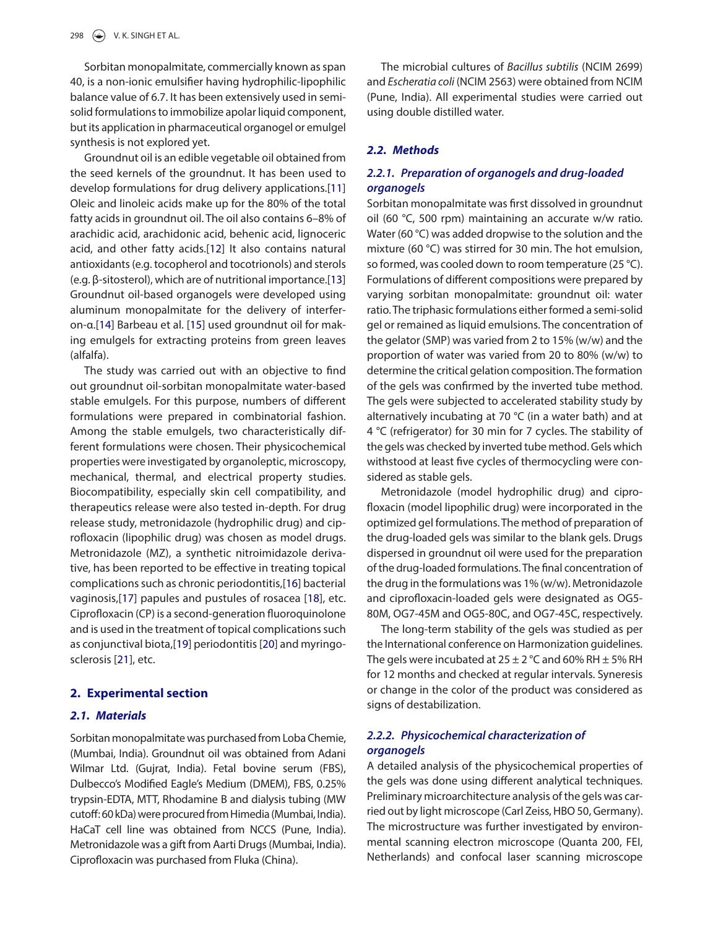Sorbitan monopalmitate, commercially known as span 40, is a non-ionic emulsifier having hydrophilic-lipophilic balance value of 6.7. It has been extensively used in semisolid formulations to immobilize apolar liquid component, but its application in pharmaceutical organogel or emulgel synthesis is not explored yet.

Groundnut oil is an edible vegetable oil obtained from the seed kernels of the groundnut. It has been used to develop formulations for drug delivery applications.[11] Oleic and linoleic acids make up for the 80% of the total fatty acids in groundnut oil. The oil also contains 6–8% of arachidic acid, arachidonic acid, behenic acid, lignoceric acid, and other fatty acids.[12] It also contains natural antioxidants (e.g. tocopherol and tocotrionols) and sterols (e.g. β-sitosterol), which are of nutritional importance.[13] Groundnut oil-based organogels were developed using aluminum monopalmitate for the delivery of interferon-α.[14] Barbeau et al. [15] used groundnut oil for making emulgels for extracting proteins from green leaves (alfalfa).

The study was carried out with an objective to find out groundnut oil-sorbitan monopalmitate water-based stable emulgels. For this purpose, numbers of different formulations were prepared in combinatorial fashion. Among the stable emulgels, two characteristically different formulations were chosen. Their physicochemical properties were investigated by organoleptic, microscopy, mechanical, thermal, and electrical property studies. Biocompatibility, especially skin cell compatibility, and therapeutics release were also tested in-depth. For drug release study, metronidazole (hydrophilic drug) and ciprofloxacin (lipophilic drug) was chosen as model drugs. Metronidazole (MZ), a synthetic nitroimidazole derivative, has been reported to be effective in treating topical complications such as chronic periodontitis,[16] bacterial vaginosis,[17] papules and pustules of rosacea [18], etc. Ciprofloxacin (CP) is a second-generation fluoroquinolone and is used in the treatment of topical complications such as conjunctival biota,[19] periodontitis [20] and myringosclerosis [21], etc.

#### **2. Experimental section**

# **2.1. Materials**

Sorbitan monopalmitate was purchased from Loba Chemie, (Mumbai, India). Groundnut oil was obtained from Adani Wilmar Ltd. (Gujrat, India). Fetal bovine serum (FBS), Dulbecco's Modified Eagle's Medium (DMEM), FBS, 0.25% trypsin-EDTA, MTT, Rhodamine B and dialysis tubing (MW cutoff: 60 kDa) were procured from Himedia (Mumbai, India). HaCaT cell line was obtained from NCCS (Pune, India). Metronidazole was a gift from Aarti Drugs (Mumbai, India). Ciprofloxacin was purchased from Fluka (China).

The microbial cultures of Bacillus subtilis (NCIM 2699) and Escheratia coli (NCIM 2563) were obtained from NCIM (Pune, India). All experimental studies were carried out using double distilled water.

# **2.2. Methods**

# **2.2.1. Preparation of organogels and drug-loaded organogels**

Sorbitan monopalmitate was first dissolved in groundnut oil (60 °C, 500 rpm) maintaining an accurate w/w ratio. Water (60 °C) was added dropwise to the solution and the mixture (60 °C) was stirred for 30 min. The hot emulsion, so formed, was cooled down to room temperature (25 °C). Formulations of different compositions were prepared by varying sorbitan monopalmitate: groundnut oil: water ratio. The triphasic formulations either formed a semi-solid gel or remained as liquid emulsions. The concentration of the gelator (SMP) was varied from 2 to 15% (w/w) and the proportion of water was varied from 20 to 80% (w/w) to determine the critical gelation composition. The formation of the gels was confirmed by the inverted tube method. The gels were subjected to accelerated stability study by alternatively incubating at 70 °C (in a water bath) and at 4 °C (refrigerator) for 30 min for 7 cycles. The stability of the gels was checked by inverted tube method. Gels which withstood at least five cycles of thermocycling were considered as stable gels.

Metronidazole (model hydrophilic drug) and ciprofloxacin (model lipophilic drug) were incorporated in the optimized gel formulations. The method of preparation of the drug-loaded gels was similar to the blank gels. Drugs dispersed in groundnut oil were used for the preparation of the drug-loaded formulations. The final concentration of the drug in the formulations was 1% (w/w). Metronidazole and ciprofloxacin-loaded gels were designated as OG5- 80M, OG7-45M and OG5-80C, and OG7-45C, respectively.

The long-term stability of the gels was studied as per the International conference on Harmonization guidelines. The gels were incubated at  $25 \pm 2$  °C and 60% RH  $\pm$  5% RH for 12 months and checked at regular intervals. Syneresis or change in the color of the product was considered as signs of destabilization.

# **2.2.2. Physicochemical characterization of organogels**

A detailed analysis of the physicochemical properties of the gels was done using different analytical techniques. Preliminary microarchitecture analysis of the gels was carried out by light microscope (Carl Zeiss, HBO 50, Germany). The microstructure was further investigated by environmental scanning electron microscope (Quanta 200, FEI, Netherlands) and confocal laser scanning microscope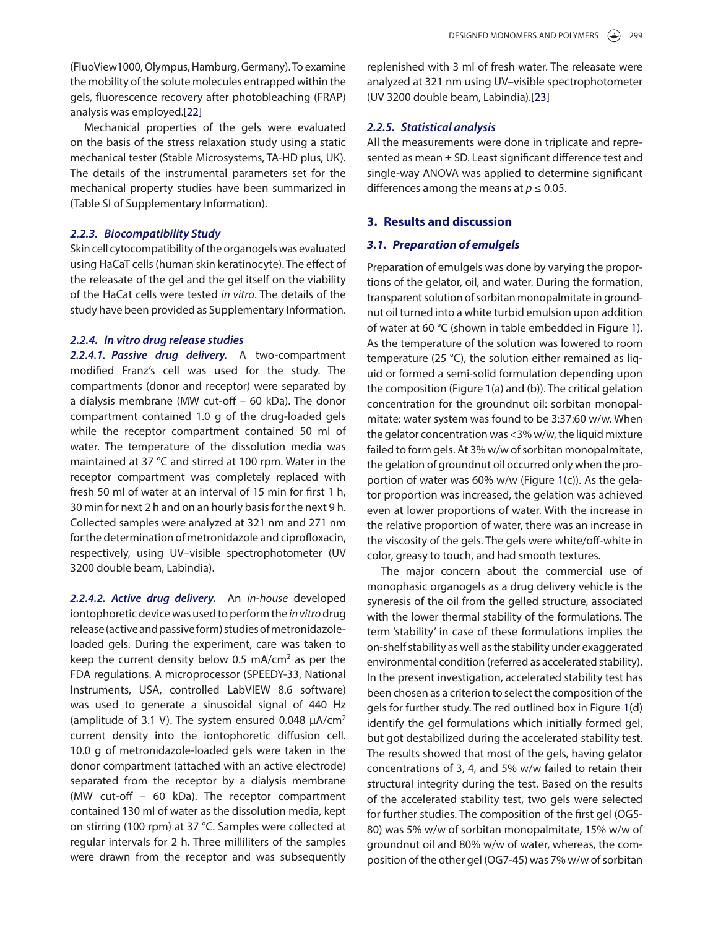(FluoView1000, Olympus, Hamburg, Germany). To examine the mobility of the solute molecules entrapped within the gels, fluorescence recovery after photobleaching (FRAP) analysis was employed.[22]

Mechanical properties of the gels were evaluated on the basis of the stress relaxation study using a static mechanical tester (Stable Microsystems, TA-HD plus, UK). The details of the instrumental parameters set for the mechanical property studies have been summarized in (Table SI of Supplementary Information).

# **2.2.3. Biocompatibility Study**

Skin cell cytocompatibility of the organogels was evaluated using HaCaT cells (human skin keratinocyte). The effect of the releasate of the gel and the gel itself on the viability of the HaCat cells were tested in vitro. The details of the study have been provided as Supplementary Information.

# **2.2.4. In vitro drug release studies**

**2.2.4.1. Passive drug delivery.** A two-compartment modified Franz's cell was used for the study. The compartments (donor and receptor) were separated by a dialysis membrane (MW cut-off – 60 kDa). The donor compartment contained 1.0 g of the drug-loaded gels while the receptor compartment contained 50 ml of water. The temperature of the dissolution media was maintained at 37 °C and stirred at 100 rpm. Water in the receptor compartment was completely replaced with fresh 50 ml of water at an interval of 15 min for first 1 h, 30 min for next 2 h and on an hourly basis for the next 9 h. Collected samples were analyzed at 321 nm and 271 nm for the determination of metronidazole and ciprofloxacin, respectively, using UV–visible spectrophotometer (UV 3200 double beam, Labindia).

**2.2.4.2. Active drug delivery.** An in-house developed iontophoretic device was used to perform the in vitro drug release (active and passive form) studies of metronidazoleloaded gels. During the experiment, care was taken to keep the current density below 0.5 mA/cm<sup>2</sup> as per the FDA regulations. A microprocessor (SPEEDY-33, National Instruments, USA, controlled LabVIEW 8.6 software) was used to generate a sinusoidal signal of 440 Hz (amplitude of 3.1 V). The system ensured 0.048  $\mu$ A/cm<sup>2</sup> current density into the iontophoretic diffusion cell. 10.0 g of metronidazole-loaded gels were taken in the donor compartment (attached with an active electrode) separated from the receptor by a dialysis membrane (MW cut-off – 60 kDa). The receptor compartment contained 130 ml of water as the dissolution media, kept on stirring (100 rpm) at 37 °C. Samples were collected at regular intervals for 2 h. Three milliliters of the samples were drawn from the receptor and was subsequently replenished with 3 ml of fresh water. The releasate were analyzed at 321 nm using UV–visible spectrophotometer (UV 3200 double beam, Labindia).[23]

# **2.2.5. Statistical analysis**

All the measurements were done in triplicate and represented as mean ± SD. Least significant difference test and single-way ANOVA was applied to determine significant differences among the means at  $p \leq 0.05$ .

# **3. Results and discussion**

# **3.1. Preparation of emulgels**

Preparation of emulgels was done by varying the proportions of the gelator, oil, and water. During the formation, transparent solution of sorbitan monopalmitate in groundnut oil turned into a white turbid emulsion upon addition of water at 60 °C (shown in table embedded in Figure 1). As the temperature of the solution was lowered to room temperature (25 °C), the solution either remained as liquid or formed a semi-solid formulation depending upon the composition (Figure 1(a) and (b)). The critical gelation concentration for the groundnut oil: sorbitan monopalmitate: water system was found to be 3:37:60 w/w. When the gelator concentration was <3% w/w, the liquid mixture failed to form gels. At 3% w/w of sorbitan monopalmitate, the gelation of groundnut oil occurred only when the proportion of water was 60% w/w (Figure 1(c)). As the gelator proportion was increased, the gelation was achieved even at lower proportions of water. With the increase in the relative proportion of water, there was an increase in the viscosity of the gels. The gels were white/off-white in color, greasy to touch, and had smooth textures.

The major concern about the commercial use of monophasic organogels as a drug delivery vehicle is the syneresis of the oil from the gelled structure, associated with the lower thermal stability of the formulations. The term 'stability' in case of these formulations implies the on-shelf stability as well as the stability under exaggerated environmental condition (referred as accelerated stability). In the present investigation, accelerated stability test has been chosen as a criterion to select the composition of the gels for further study. The red outlined box in Figure 1(d) identify the gel formulations which initially formed gel, but got destabilized during the accelerated stability test. The results showed that most of the gels, having gelator concentrations of 3, 4, and 5% w/w failed to retain their structural integrity during the test. Based on the results of the accelerated stability test, two gels were selected for further studies. The composition of the first gel (OG5- 80) was 5% w/w of sorbitan monopalmitate, 15% w/w of groundnut oil and 80% w/w of water, whereas, the composition of the other gel (OG7-45) was 7% w/w of sorbitan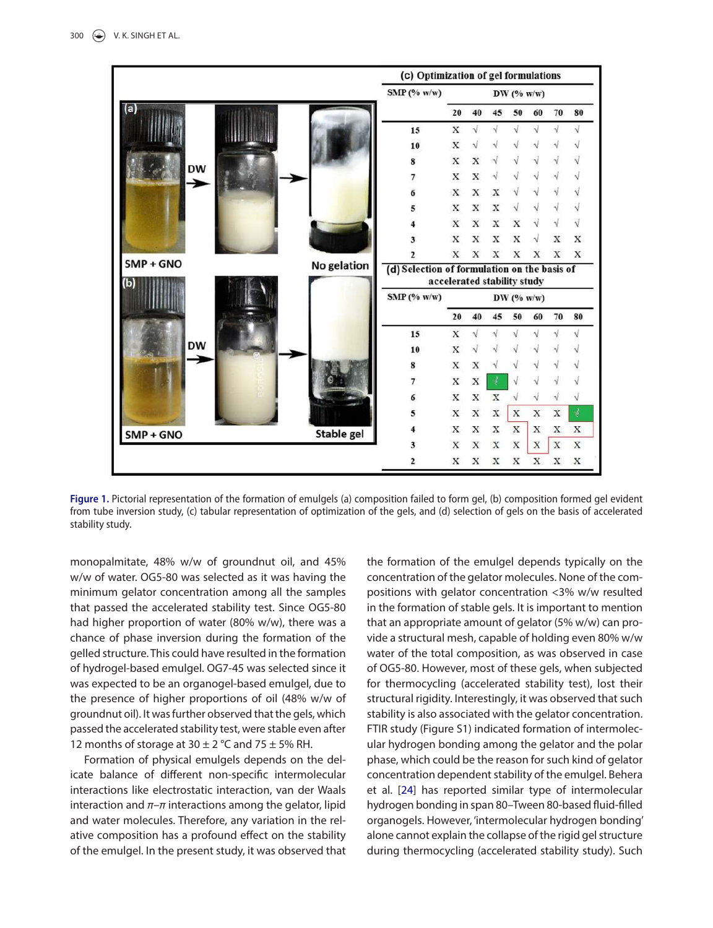

Figure 1. Pictorial representation of the formation of emulgels (a) composition failed to form gel, (b) composition formed gel evident from tube inversion study, (c) tabular representation of optimization of the gels, and (d) selection of gels on the basis of accelerated stability study.

monopalmitate, 48% w/w of groundnut oil, and 45% w/w of water. OG5-80 was selected as it was having the minimum gelator concentration among all the samples that passed the accelerated stability test. Since OG5-80 had higher proportion of water (80% w/w), there was a chance of phase inversion during the formation of the gelled structure. This could have resulted in the formation of hydrogel-based emulgel. OG7-45 was selected since it was expected to be an organogel-based emulgel, due to the presence of higher proportions of oil (48% w/w of groundnut oil). It was further observed that the gels, which passed the accelerated stability test, were stable even after 12 months of storage at  $30 \pm 2$  °C and  $75 \pm 5$ % RH.

Formation of physical emulgels depends on the delicate balance of different non-specific intermolecular interactions like electrostatic interaction, van der Waals interaction and  $\pi$ – $\pi$  interactions among the gelator, lipid and water molecules. Therefore, any variation in the relative composition has a profound effect on the stability of the emulgel. In the present study, it was observed that the formation of the emulgel depends typically on the concentration of the gelator molecules. None of the compositions with gelator concentration <3% w/w resulted in the formation of stable gels. It is important to mention that an appropriate amount of gelator (5% w/w) can provide a structural mesh, capable of holding even 80% w/w water of the total composition, as was observed in case of OG5-80. However, most of these gels, when subjected for thermocycling (accelerated stability test), lost their structural rigidity. Interestingly, it was observed that such stability is also associated with the gelator concentration. FTIR study (Figure S1) indicated formation of intermolecular hydrogen bonding among the gelator and the polar phase, which could be the reason for such kind of gelator concentration dependent stability of the emulgel. Behera et al. [24] has reported similar type of intermolecular hydrogen bonding in span 80–Tween 80-based fluid-filled organogels. However, 'intermolecular hydrogen bonding' alone cannot explain the collapse of the rigid gel structure during thermocycling (accelerated stability study). Such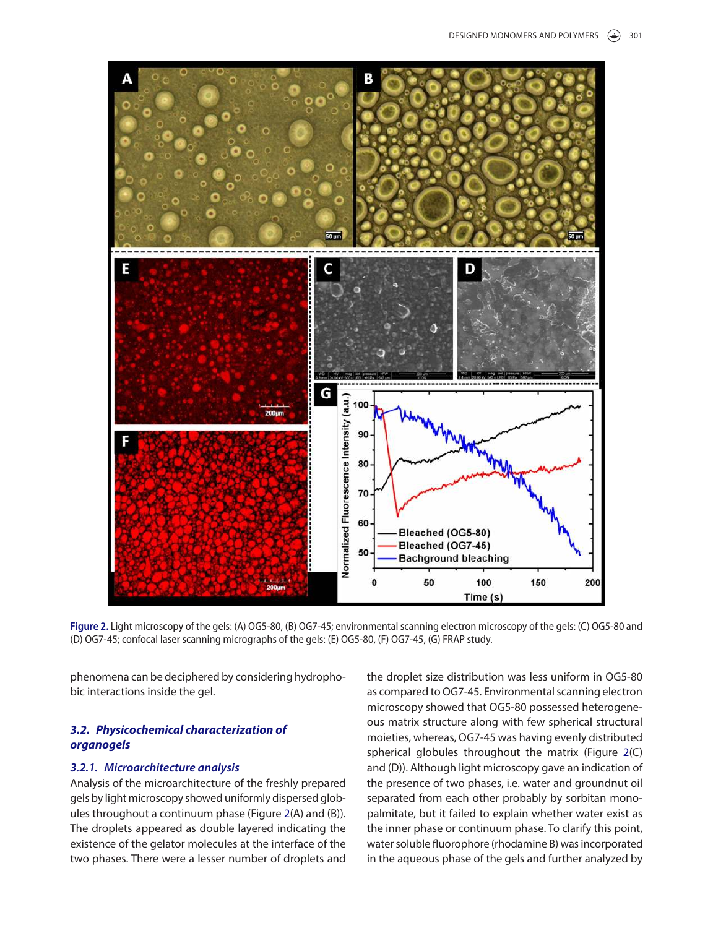

Figure 2. Light microscopy of the gels: (A) OG5-80, (B) OG7-45; environmental scanning electron microscopy of the gels: (C) OG5-80 and (D) og7-45; confocal laser scanning micrographs of the gels: (e) og5-80, (F) og7-45, (g) FraP study.

phenomena can be deciphered by considering hydrophobic interactions inside the gel.

# **3.2. Physicochemical characterization of organogels**

# **3.2.1. Microarchitecture analysis**

Analysis of the microarchitecture of the freshly prepared gels by light microscopy showed uniformly dispersed globules throughout a continuum phase (Figure 2(A) and (B)). The droplets appeared as double layered indicating the existence of the gelator molecules at the interface of the two phases. There were a lesser number of droplets and the droplet size distribution was less uniform in OG5-80 as compared to OG7-45. Environmental scanning electron microscopy showed that OG5-80 possessed heterogeneous matrix structure along with few spherical structural moieties, whereas, OG7-45 was having evenly distributed spherical globules throughout the matrix (Figure 2(C) and (D)). Although light microscopy gave an indication of the presence of two phases, i.e. water and groundnut oil separated from each other probably by sorbitan monopalmitate, but it failed to explain whether water exist as the inner phase or continuum phase. To clarify this point, water soluble fluorophore (rhodamine B) was incorporated in the aqueous phase of the gels and further analyzed by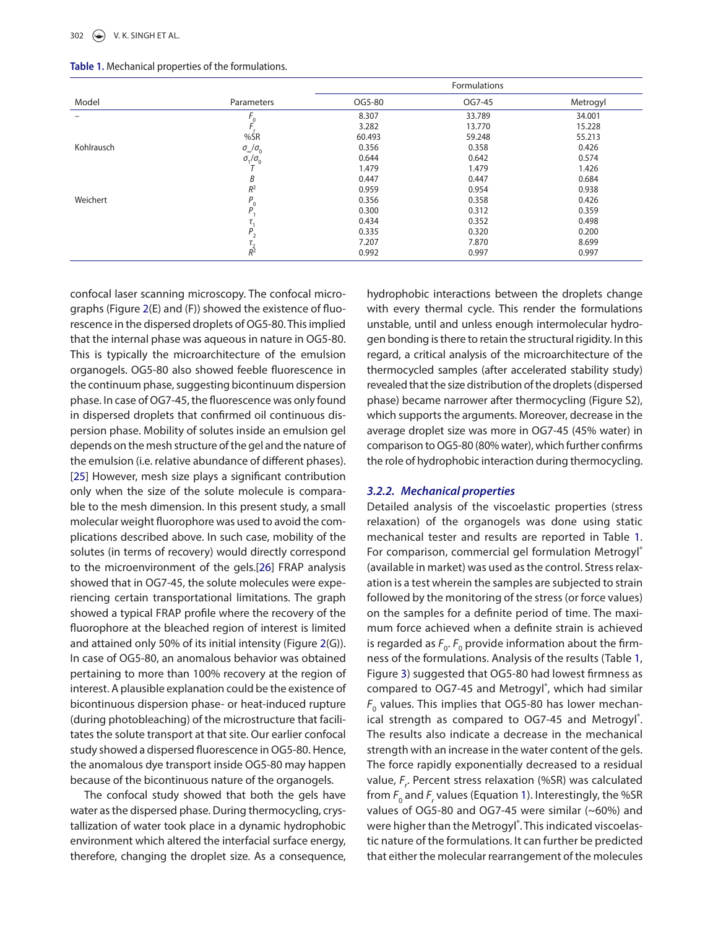|            |                              | <b>Formulations</b> |        |          |
|------------|------------------------------|---------------------|--------|----------|
| Model      | Parameters                   | OG5-80              | OG7-45 | Metrogyl |
|            |                              | 8.307               | 33.789 | 34.001   |
|            |                              | 3.282               | 13.770 | 15.228   |
|            | %SR                          | 60.493              | 59.248 | 55.213   |
| Kohlrausch | $\sigma_{\infty}/\sigma_{0}$ | 0.356               | 0.358  | 0.426    |
|            | $\sigma_1/\sigma_0$          | 0.644               | 0.642  | 0.574    |
|            |                              | 1.479               | 1.479  | 1.426    |
|            | B                            | 0.447               | 0.447  | 0.684    |
|            | $R^2$                        | 0.959               | 0.954  | 0.938    |
| Weichert   | $^{\prime}$ 0                | 0.356               | 0.358  | 0.426    |
|            | D                            | 0.300               | 0.312  | 0.359    |
|            |                              | 0.434               | 0.352  | 0.498    |
|            | D                            | 0.335               | 0.320  | 0.200    |
|            |                              | 7.207               | 7.870  | 8.699    |
|            | $\frac{1}{R^2}$              | 0.992               | 0.997  | 0.997    |

**Table 1.** Mechanical properties of the formulations.

confocal laser scanning microscopy. The confocal micrographs (Figure 2(E) and (F)) showed the existence of fluorescence in the dispersed droplets of OG5-80. This implied that the internal phase was aqueous in nature in OG5-80. This is typically the microarchitecture of the emulsion organogels. OG5-80 also showed feeble fluorescence in the continuum phase, suggesting bicontinuum dispersion phase. In case of OG7-45, the fluorescence was only found in dispersed droplets that confirmed oil continuous dispersion phase. Mobility of solutes inside an emulsion gel depends on the mesh structure of the gel and the nature of the emulsion (i.e. relative abundance of different phases). [25] However, mesh size plays a significant contribution only when the size of the solute molecule is comparable to the mesh dimension. In this present study, a small molecular weight fluorophore was used to avoid the complications described above. In such case, mobility of the solutes (in terms of recovery) would directly correspond to the microenvironment of the gels.[26] FRAP analysis showed that in OG7-45, the solute molecules were experiencing certain transportational limitations. The graph showed a typical FRAP profile where the recovery of the fluorophore at the bleached region of interest is limited and attained only 50% of its initial intensity (Figure 2(G)). In case of OG5-80, an anomalous behavior was obtained pertaining to more than 100% recovery at the region of interest. A plausible explanation could be the existence of bicontinuous dispersion phase- or heat-induced rupture (during photobleaching) of the microstructure that facilitates the solute transport at that site. Our earlier confocal study showed a dispersed fluorescence in OG5-80. Hence, the anomalous dye transport inside OG5-80 may happen because of the bicontinuous nature of the organogels.

The confocal study showed that both the gels have water as the dispersed phase. During thermocycling, crystallization of water took place in a dynamic hydrophobic environment which altered the interfacial surface energy, therefore, changing the droplet size. As a consequence, hydrophobic interactions between the droplets change with every thermal cycle. This render the formulations unstable, until and unless enough intermolecular hydrogen bonding is there to retain the structural rigidity. In this regard, a critical analysis of the microarchitecture of the thermocycled samples (after accelerated stability study) revealed that the size distribution of the droplets (dispersed phase) became narrower after thermocycling (Figure S2), which supports the arguments. Moreover, decrease in the average droplet size was more in OG7-45 (45% water) in comparison to OG5-80 (80% water), which further confirms the role of hydrophobic interaction during thermocycling.

# **3.2.2. Mechanical properties**

Detailed analysis of the viscoelastic properties (stress relaxation) of the organogels was done using static mechanical tester and results are reported in Table 1. For comparison, commercial gel formulation Metrogyl® (available in market) was used as the control. Stress relaxation is a test wherein the samples are subjected to strain followed by the monitoring of the stress (or force values) on the samples for a definite period of time. The maximum force achieved when a definite strain is achieved is regarded as  $F_{0}$ .  $F_{0}$  provide information about the firmness of the formulations. Analysis of the results (Table 1, Figure 3) suggested that OG5-80 had lowest firmness as compared to OG7-45 and Metrogyl® , which had similar  $F_{\rm o}$  values. This implies that OG5-80 has lower mechanical strength as compared to OG7-45 and Metrogyl®. The results also indicate a decrease in the mechanical strength with an increase in the water content of the gels. The force rapidly exponentially decreased to a residual value,  $F_r$ . Percent stress relaxation (%SR) was calculated from  $F_{0}$  and  $F_{r}$  values (Equation 1). Interestingly, the %SR values of OG5-80 and OG7-45 were similar (~60%) and were higher than the Metrogyl®. This indicated viscoelastic nature of the formulations. It can further be predicted that either the molecular rearrangement of the molecules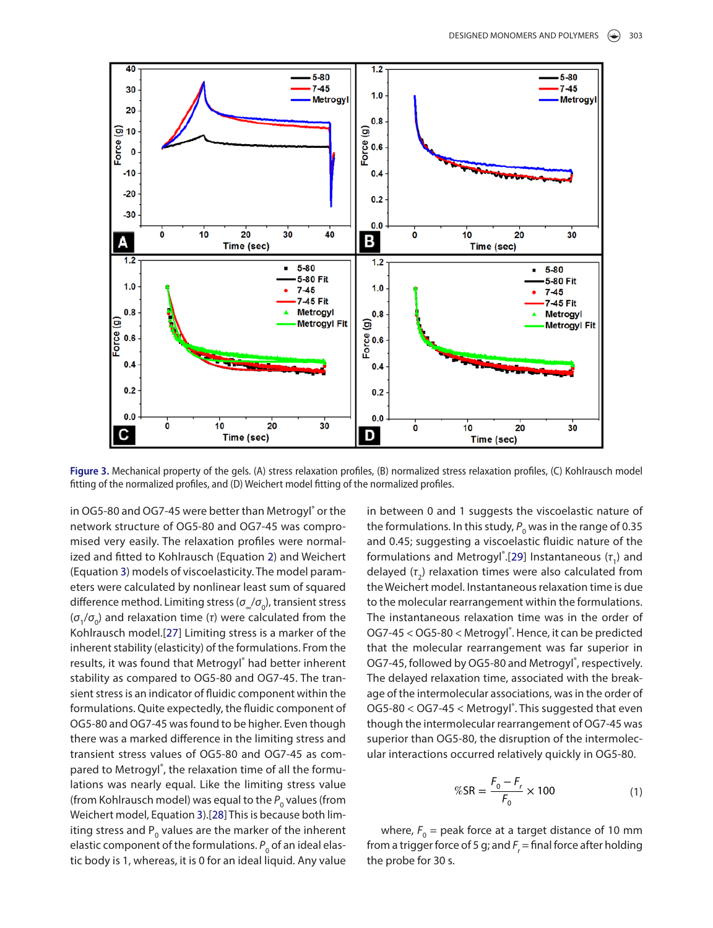

**Figure 3.** Mechanical property of the gels. (a) stress relaxation profiles, (B) normalized stress relaxation profiles, (C) Kohlrausch model fitting of the normalized profiles, and (D) Weichert model fitting of the normalized profiles.

in OG5-80 and OG7-45 were better than Metrogyl® or the network structure of OG5-80 and OG7-45 was compromised very easily. The relaxation profiles were normalized and fitted to Kohlrausch (Equation 2) and Weichert (Equation 3) models of viscoelasticity. The model parameters were calculated by nonlinear least sum of squared difference method. Limiting stress ( $\sigma_{\! \omega} \! / \! \sigma_{\! 0}$ ), transient stress ( $\sigma_1/\sigma_0$ ) and relaxation time (τ) were calculated from the Kohlrausch model.[27] Limiting stress is a marker of the inherent stability (elasticity) of the formulations. From the results, it was found that Metrogyl® had better inherent stability as compared to OG5-80 and OG7-45. The transient stress is an indicator of fluidic component within the formulations. Quite expectedly, the fluidic component of OG5-80 and OG7-45 was found to be higher. Even though there was a marked difference in the limiting stress and transient stress values of OG5-80 and OG7-45 as compared to Metrogyl®, the relaxation time of all the formulations was nearly equal. Like the limiting stress value (from Kohlrausch model) was equal to the  $P_{0}$  values (from Weichert model, Equation 3).[28] This is because both limiting stress and  $P_{0}$  values are the marker of the inherent elastic component of the formulations.  $P_{_{\rm 0}}$  of an ideal elastic body is 1, whereas, it is 0 for an ideal liquid. Any value in between 0 and 1 suggests the viscoelastic nature of the formulations. In this study,  $P_{\rm o}$  was in the range of 0.35 and 0.45; suggesting a viscoelastic fluidic nature of the formulations and Metrogyl<sup>®</sup>. [29] Instantaneous ( $\tau$ <sub>1</sub>) and delayed  $(\tau_2)$  relaxation times were also calculated from the Weichert model. Instantaneous relaxation time is due to the molecular rearrangement within the formulations. The instantaneous relaxation time was in the order of OG7-45 < OG5-80 < Metrogyl<sup>®</sup>. Hence, it can be predicted that the molecular rearrangement was far superior in OG7-45, followed by OG5-80 and Metrogyl®, respectively. The delayed relaxation time, associated with the breakage of the intermolecular associations, was in the order of OG5-80 < OG7-45 < Metrogyl®. This suggested that even though the intermolecular rearrangement of OG7-45 was superior than OG5-80, the disruption of the intermolecular interactions occurred relatively quickly in OG5-80.

$$
\%SR = \frac{F_0 - F_r}{F_0} \times 100
$$
 (1)

where,  $F_{0}$  = peak force at a target distance of 10 mm from a trigger force of 5 g; and  $F_r$  = final force after holding the probe for 30 s.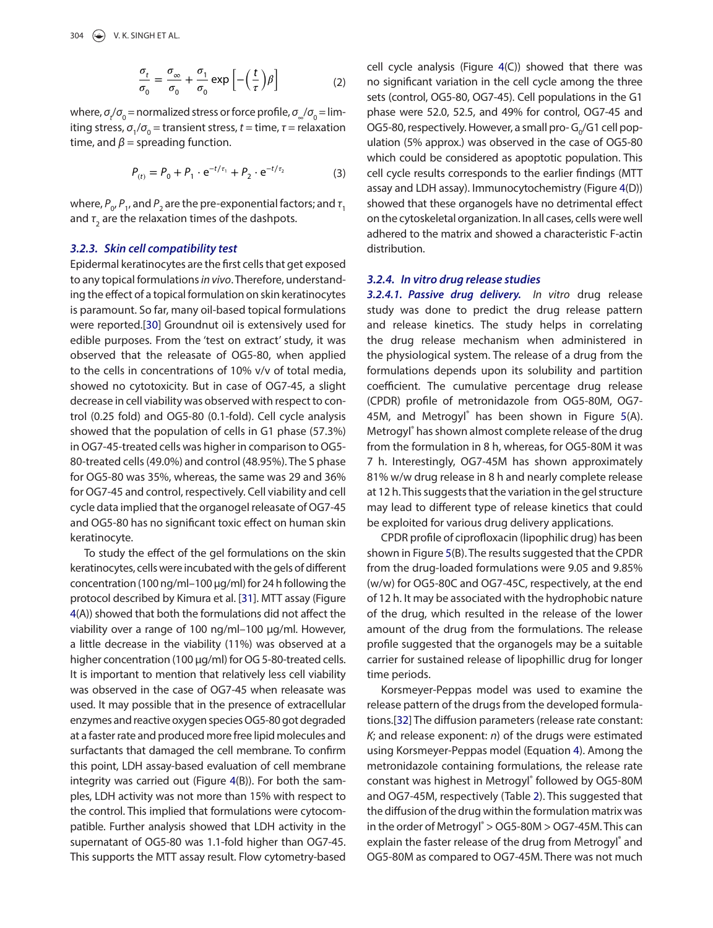$$
\frac{\sigma_t}{\sigma_0} = \frac{\sigma_\infty}{\sigma_0} + \frac{\sigma_1}{\sigma_0} \exp\left[-\left(\frac{t}{\tau}\right)\beta\right]
$$
 (2)

where,  $\sigma_{\! \ell} / \sigma_{\! 0}$  = normalized stress or force profile,  $\sigma_{\! \omega} / \sigma_{\! 0}$  = limiting stress,  $\sigma_1/\sigma_0$  = transient stress,  $t$  = time,  $\tau$  = relaxation time, and  $\beta$  = spreading function.

$$
P_{(t)} = P_0 + P_1 \cdot e^{-t/\tau_1} + P_2 \cdot e^{-t/\tau_2}
$$
 (3)

where,  $P_{0'}P_{1'}$  and  $P_{2}$  are the pre-exponential factors; and  $\tau_{1}$ and  $\tau^{}_{\rm 2}$  are the relaxation times of the dashpots.

#### **3.2.3. Skin cell compatibility test**

Epidermal keratinocytes are the first cells that get exposed to any topical formulations in vivo. Therefore, understanding the effect of a topical formulation on skin keratinocytes is paramount. So far, many oil-based topical formulations were reported.[30] Groundnut oil is extensively used for edible purposes. From the 'test on extract' study, it was observed that the releasate of OG5-80, when applied to the cells in concentrations of 10% v/v of total media, showed no cytotoxicity. But in case of OG7-45, a slight decrease in cell viability was observed with respect to control (0.25 fold) and OG5-80 (0.1-fold). Cell cycle analysis showed that the population of cells in G1 phase (57.3%) in OG7-45-treated cells was higher in comparison to OG5- 80-treated cells (49.0%) and control (48.95%). The S phase for OG5-80 was 35%, whereas, the same was 29 and 36% for OG7-45 and control, respectively. Cell viability and cell cycle data implied that the organogel releasate of OG7-45 and OG5-80 has no significant toxic effect on human skin keratinocyte.

To study the effect of the gel formulations on the skin keratinocytes, cells were incubated with the gels of different concentration (100 ng/ml–100 μg/ml) for 24 h following the protocol described by Kimura et al. [31]. MTT assay (Figure 4(A)) showed that both the formulations did not affect the viability over a range of 100 ng/ml–100 μg/ml. However, a little decrease in the viability (11%) was observed at a higher concentration (100 μg/ml) for OG 5-80-treated cells. It is important to mention that relatively less cell viability was observed in the case of OG7-45 when releasate was used. It may possible that in the presence of extracellular enzymes and reactive oxygen species OG5-80 got degraded at a faster rate and produced more free lipid molecules and surfactants that damaged the cell membrane. To confirm this point, LDH assay-based evaluation of cell membrane integrity was carried out (Figure 4(B)). For both the samples, LDH activity was not more than 15% with respect to the control. This implied that formulations were cytocompatible. Further analysis showed that LDH activity in the supernatant of OG5-80 was 1.1-fold higher than OG7-45. This supports the MTT assay result. Flow cytometry-based cell cycle analysis (Figure 4(C)) showed that there was no significant variation in the cell cycle among the three sets (control, OG5-80, OG7-45). Cell populations in the G1 phase were 52.0, 52.5, and 49% for control, OG7-45 and OG5-80, respectively. However, a small pro- $G_0/G1$  cell population (5% approx.) was observed in the case of OG5-80 which could be considered as apoptotic population. This cell cycle results corresponds to the earlier findings (MTT assay and LDH assay). Immunocytochemistry (Figure 4(D)) showed that these organogels have no detrimental effect on the cytoskeletal organization. In all cases, cells were well adhered to the matrix and showed a characteristic F-actin distribution.

# **3.2.4. In vitro drug release studies**

**3.2.4.1. Passive drug delivery.** In vitro drug release study was done to predict the drug release pattern and release kinetics. The study helps in correlating the drug release mechanism when administered in the physiological system. The release of a drug from the formulations depends upon its solubility and partition coefficient. The cumulative percentage drug release (CPDR) profile of metronidazole from OG5-80M, OG7- 45M, and Metrogyl® has been shown in Figure 5(A). Metrogyl® has shown almost complete release of the drug from the formulation in 8 h, whereas, for OG5-80M it was 7 h. Interestingly, OG7-45M has shown approximately 81% w/w drug release in 8 h and nearly complete release at 12 h. This suggests that the variation in the gel structure may lead to different type of release kinetics that could be exploited for various drug delivery applications.

CPDR profile of ciprofloxacin (lipophilic drug) has been shown in Figure 5(B). The results suggested that the CPDR from the drug-loaded formulations were 9.05 and 9.85% (w/w) for OG5-80C and OG7-45C, respectively, at the end of 12 h. It may be associated with the hydrophobic nature of the drug, which resulted in the release of the lower amount of the drug from the formulations. The release profile suggested that the organogels may be a suitable carrier for sustained release of lipophillic drug for longer time periods.

Korsmeyer-Peppas model was used to examine the release pattern of the drugs from the developed formulations.[32] The diffusion parameters (release rate constant:  $K<sub>i</sub>$  and release exponent: n) of the drugs were estimated using Korsmeyer-Peppas model (Equation 4). Among the metronidazole containing formulations, the release rate constant was highest in Metrogyl® followed by OG5-80M and OG7-45M, respectively (Table 2). This suggested that the diffusion of the drug within the formulation matrix was in the order of Metrogyl® > OG5-80M > OG7-45M. This can explain the faster release of the drug from Metrogyl® and OG5-80M as compared to OG7-45M. There was not much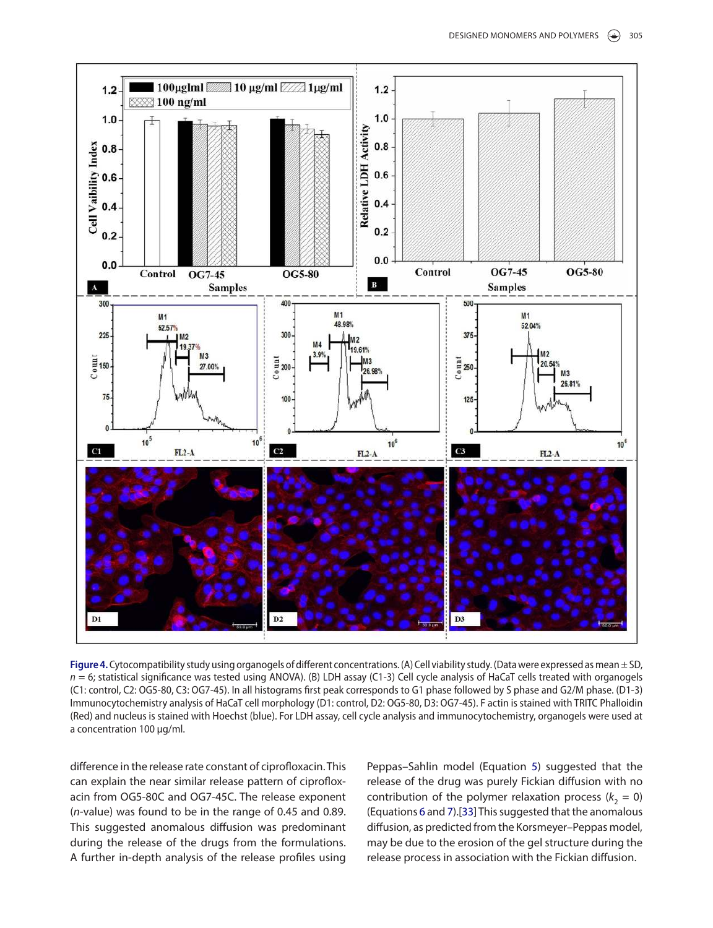

Figure 4. Cytocompatibility study using organogels of different concentrations. (A) Cell viability study. (Data were expressed as mean ± SD,  $n = 6$ ; statistical significance was tested using ANOVA). (B) LDH assay (C1-3) Cell cycle analysis of HaCaT cells treated with organogels (C1: control, C2: og5-80, C3: og7-45). in all histograms first peak corresponds to g1 phase followed by s phase and g2/M phase. (D1-3) Immunocytochemistry analysis of HaCaT cell morphology (D1: control, D2: OG5-80, D3: OG7-45). F actin is stained with TRITC Phalloidin (red) and nucleus is stained with Hoechst (blue). For lDH assay, cell cycle analysis and immunocytochemistry, organogels were used at a concentration 100 μg/ml.

difference in the release rate constant of ciprofloxacin. This can explain the near similar release pattern of ciprofloxacin from OG5-80C and OG7-45C. The release exponent (n-value) was found to be in the range of 0.45 and 0.89. This suggested anomalous diffusion was predominant during the release of the drugs from the formulations. A further in-depth analysis of the release profiles using Peppas–Sahlin model (Equation 5) suggested that the release of the drug was purely Fickian diffusion with no contribution of the polymer relaxation process ( $k_2 = 0$ ) (Equations 6 and 7).[33] This suggested that the anomalous diffusion, as predicted from the Korsmeyer–Peppas model, may be due to the erosion of the gel structure during the release process in association with the Fickian diffusion.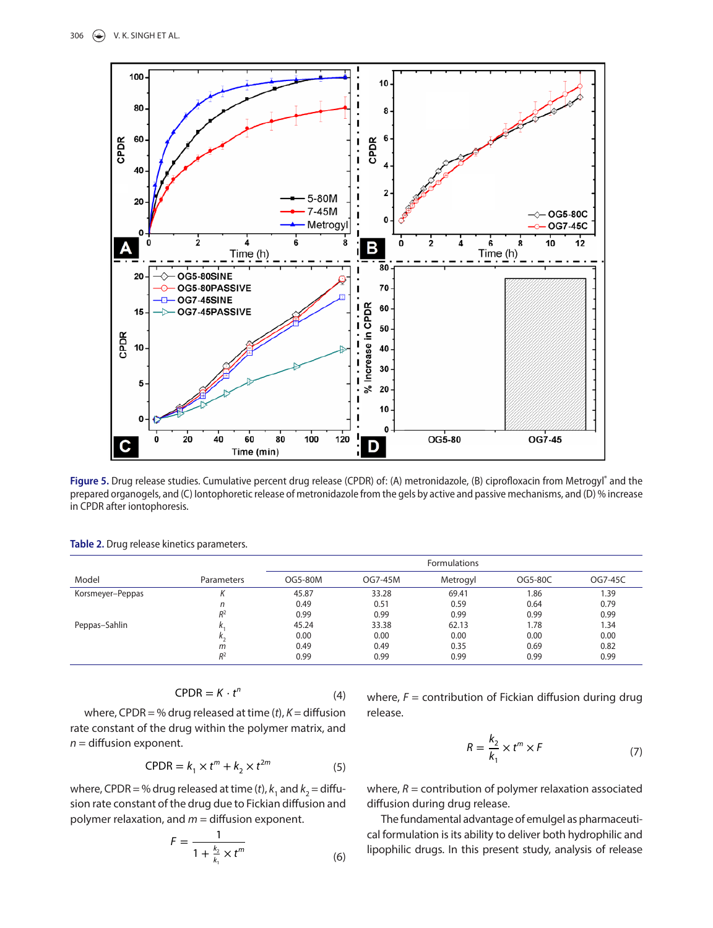

Figure 5. Drug release studies. Cumulative percent drug release (CPDR) of: (A) metronidazole, (B) ciprofloxacin from Metrogyl<sup>®</sup> and the prepared organogels, and (C) iontophoretic release of metronidazole from the gels by active and passive mechanisms, and (D) % increase in CPDR after iontophoresis.

| Model            |            | <b>Formulations</b> |         |          |         |         |
|------------------|------------|---------------------|---------|----------|---------|---------|
|                  | Parameters | OG5-80M             | OG7-45M | Metrogyl | OG5-80C | OG7-45C |
| Korsmeyer-Peppas |            | 45.87               | 33.28   | 69.41    | 1.86    | 1.39    |
|                  | n          | 0.49                | 0.51    | 0.59     | 0.64    | 0.79    |
|                  | $R^2$      | 0.99                | 0.99    | 0.99     | 0.99    | 0.99    |
| Peppas-Sahlin    |            | 45.24               | 33.38   | 62.13    | 1.78    | 1.34    |
|                  | Λ,         | 0.00                | 0.00    | 0.00     | 0.00    | 0.00    |
|                  | m          | 0.49                | 0.49    | 0.35     | 0.69    | 0.82    |
|                  | $R^2$      | 0.99                | 0.99    | 0.99     | 0.99    | 0.99    |

**Table 2.** Drug release kinetics parameters.

$$
CPDR = K \cdot t^n \tag{4}
$$

where, CPDR = % drug released at time  $(t)$ ,  $K =$  diffusion rate constant of the drug within the polymer matrix, and  $n =$  diffusion exponent.

$$
CPDR = k_1 \times t^m + k_2 \times t^{2m}
$$
 (5)

where, CPDR = % drug released at time (*t*),  $k_1$  and  $k_2$  = diffusion rate constant of the drug due to Fickian diffusion and polymer relaxation, and  $m =$  diffusion exponent.

$$
F = \frac{1}{1 + \frac{k_2}{k_1} \times t^m}
$$
 (6)

where,  $F =$  contribution of Fickian diffusion during drug release.

$$
R = \frac{k_2}{k_1} \times t^m \times F \tag{7}
$$

where,  $R =$  contribution of polymer relaxation associated diffusion during drug release.

The fundamental advantage of emulgel as pharmaceutical formulation is its ability to deliver both hydrophilic and lipophilic drugs. In this present study, analysis of release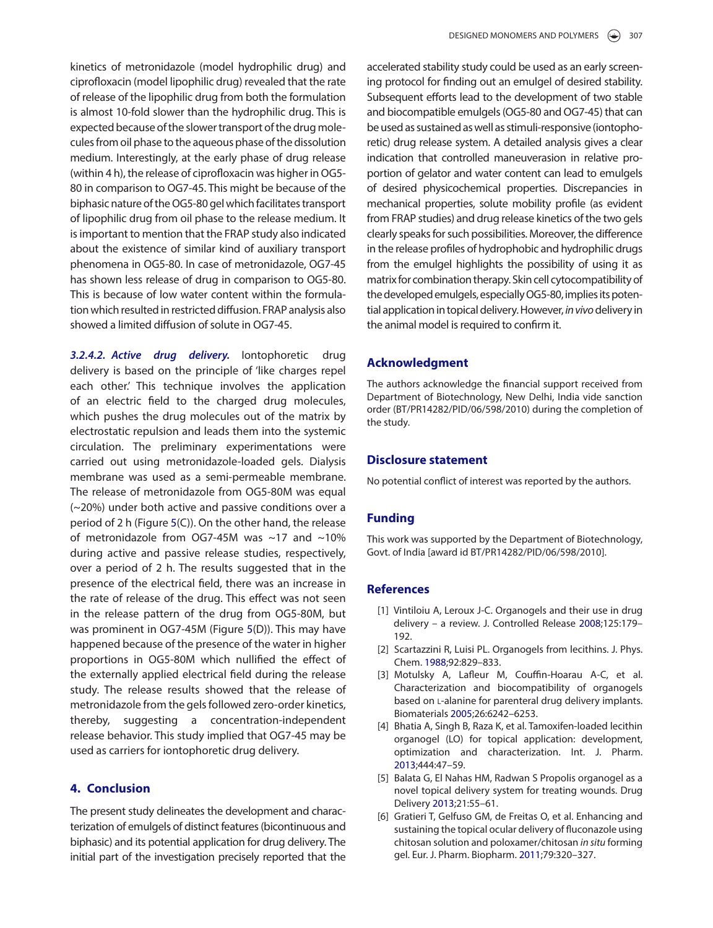kinetics of metronidazole (model hydrophilic drug) and ciprofloxacin (model lipophilic drug) revealed that the rate of release of the lipophilic drug from both the formulation is almost 10-fold slower than the hydrophilic drug. This is expected because of the slower transport of the drug molecules from oil phase to the aqueous phase of the dissolution medium. Interestingly, at the early phase of drug release (within 4 h), the release of ciprofloxacin was higher in OG5- 80 in comparison to OG7-45. This might be because of the biphasic nature of the OG5-80 gel which facilitates transport of lipophilic drug from oil phase to the release medium. It is important to mention that the FRAP study also indicated about the existence of similar kind of auxiliary transport phenomena in OG5-80. In case of metronidazole, OG7-45 has shown less release of drug in comparison to OG5-80. This is because of low water content within the formulation which resulted in restricted diffusion. FRAP analysis also showed a limited diffusion of solute in OG7-45.

**3.2.4.2. Active drug delivery.** Iontophoretic drug delivery is based on the principle of 'like charges repel each other.' This technique involves the application of an electric field to the charged drug molecules, which pushes the drug molecules out of the matrix by electrostatic repulsion and leads them into the systemic circulation. The preliminary experimentations were carried out using metronidazole-loaded gels. Dialysis membrane was used as a semi-permeable membrane. The release of metronidazole from OG5-80M was equal (~20%) under both active and passive conditions over a period of 2 h (Figure 5(C)). On the other hand, the release of metronidazole from OG7-45M was  $\sim$ 17 and  $\sim$ 10% during active and passive release studies, respectively, over a period of 2 h. The results suggested that in the presence of the electrical field, there was an increase in the rate of release of the drug. This effect was not seen in the release pattern of the drug from OG5-80M, but was prominent in OG7-45M (Figure 5(D)). This may have happened because of the presence of the water in higher proportions in OG5-80M which nullified the effect of the externally applied electrical field during the release study. The release results showed that the release of metronidazole from the gels followed zero-order kinetics, thereby, suggesting a concentration-independent release behavior. This study implied that OG7-45 may be used as carriers for iontophoretic drug delivery.

# **4. Conclusion**

The present study delineates the development and characterization of emulgels of distinct features (bicontinuous and biphasic) and its potential application for drug delivery. The initial part of the investigation precisely reported that the

accelerated stability study could be used as an early screening protocol for finding out an emulgel of desired stability. Subsequent efforts lead to the development of two stable and biocompatible emulgels (OG5-80 and OG7-45) that can be used as sustained as well as stimuli-responsive (iontophoretic) drug release system. A detailed analysis gives a clear indication that controlled maneuverasion in relative proportion of gelator and water content can lead to emulgels of desired physicochemical properties. Discrepancies in mechanical properties, solute mobility profile (as evident from FRAP studies) and drug release kinetics of the two gels clearly speaks for such possibilities. Moreover, the difference in the release profiles of hydrophobic and hydrophilic drugs from the emulgel highlights the possibility of using it as matrix for combination therapy. Skin cell cytocompatibility of the developed emulgels, especially OG5-80, implies its potential application in topical delivery. However, in vivo delivery in the animal model is required to confirm it.

# **Acknowledgment**

The authors acknowledge the financial support received from Department of Biotechnology, New Delhi, India vide sanction order (BT/PR14282/PID/06/598/2010) during the completion of the study.

# **Disclosure statement**

No potential conflict of interest was reported by the authors.

# **Funding**

This work was supported by the Department of Biotechnology, Govt. of India [award id BT/PR14282/PID/06/598/2010].

#### **References**

- [1] Vintiloiu A, Leroux J-C. Organogels and their use in drug delivery – a review. J. Controlled Release 2008;125:179– 192.
- [2] Scartazzini R, Luisi PL. Organogels from lecithins. J. Phys. Chem. 1988;92:829–833.
- [3] Motulsky A, Lafleur M, Couffin-Hoarau A-C, et al. Characterization and biocompatibility of organogels based on L-alanine for parenteral drug delivery implants. Biomaterials 2005;26:6242–6253.
- [4] Bhatia A, Singh B, Raza K, et al. Tamoxifen-loaded lecithin organogel (LO) for topical application: development, optimization and characterization. Int. J. Pharm. 2013;444:47–59.
- [5] Balata G, El Nahas HM, Radwan S Propolis organogel as a novel topical delivery system for treating wounds. Drug Delivery 2013;21:55–61.
- [6] Gratieri T, Gelfuso GM, de Freitas O, et al. Enhancing and sustaining the topical ocular delivery of fluconazole using chitosan solution and poloxamer/chitosan in situ forming gel. Eur. J. Pharm. Biopharm. 2011;79:320–327.